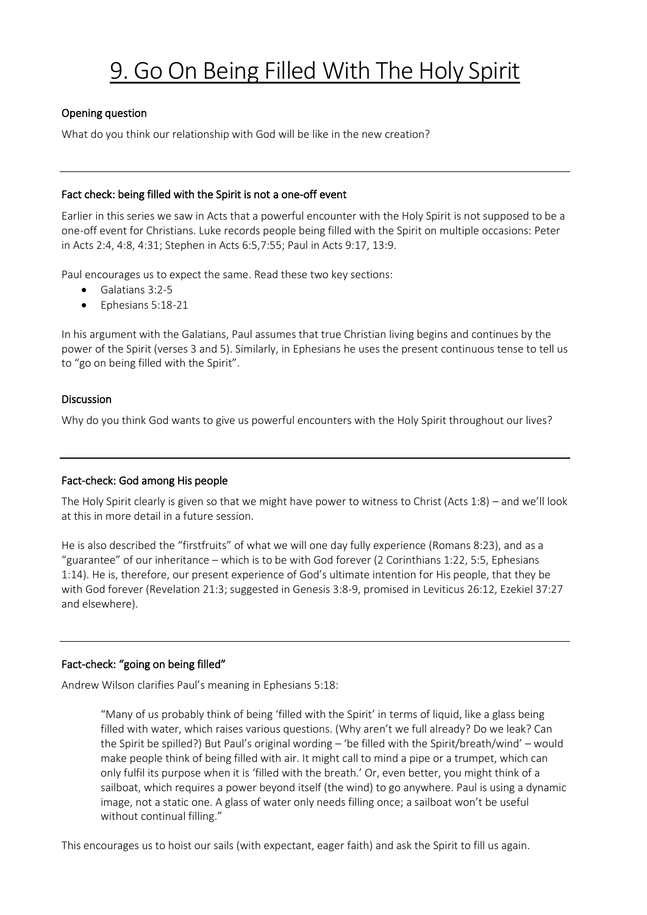# 9. Go On Being Filled With The Holy Spirit

## Opening question

What do you think our relationship with God will be like in the new creation?

## Fact check: being filled with the Spirit is not a one-off event

Earlier in this series we saw in Acts that a powerful encounter with the Holy Spirit is not supposed to be a one-off event for Christians. Luke records people being filled with the Spirit on multiple occasions: Peter in Acts 2:4, 4:8, 4:31; Stephen in Acts 6:5,7:55; Paul in Acts 9:17, 13:9.

Paul encourages us to expect the same. Read these two key sections:

- Galatians 3:2-5
- Ephesians 5:18-21

In his argument with the Galatians, Paul assumes that true Christian living begins and continues by the power of the Spirit (verses 3 and 5). Similarly, in Ephesians he uses the present continuous tense to tell us to "go on being filled with the Spirit".

#### Discussion

Why do you think God wants to give us powerful encounters with the Holy Spirit throughout our lives?

## Fact-check: God among His people

The Holy Spirit clearly is given so that we might have power to witness to Christ (Acts 1:8) – and we'll look at this in more detail in a future session.

He is also described the "firstfruits" of what we will one day fully experience (Romans 8:23), and as a "guarantee" of our inheritance – which is to be with God forever (2 Corinthians 1:22, 5:5, Ephesians 1:14). He is, therefore, our present experience of God's ultimate intention for His people, that they be with God forever (Revelation 21:3; suggested in Genesis 3:8-9, promised in Leviticus 26:12, Ezekiel 37:27 and elsewhere).

## Fact-check: "going on being filled"

Andrew Wilson clarifies Paul's meaning in Ephesians 5:18:

"Many of us probably think of being 'filled with the Spirit' in terms of liquid, like a glass being filled with water, which raises various questions. (Why aren't we full already? Do we leak? Can the Spirit be spilled?) But Paul's original wording – 'be filled with the Spirit/breath/wind' – would make people think of being filled with air. It might call to mind a pipe or a trumpet, which can only fulfil its purpose when it is 'filled with the breath.' Or, even better, you might think of a sailboat, which requires a power beyond itself (the wind) to go anywhere. Paul is using a dynamic image, not a static one. A glass of water only needs filling once; a sailboat won't be useful without continual filling."

This encourages us to hoist our sails (with expectant, eager faith) and ask the Spirit to fill us again.